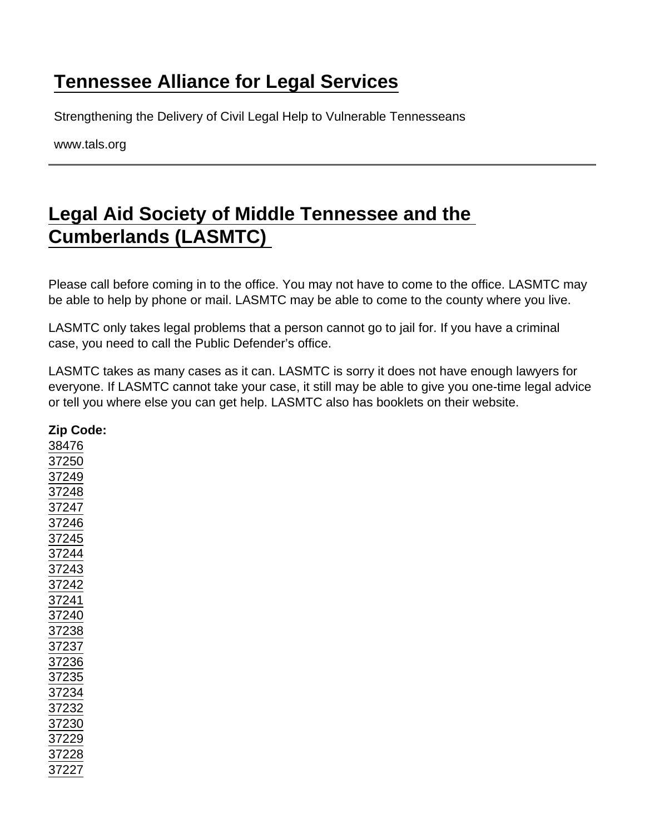## [Tennessee Alliance for Legal Services](https://www.tals.org/)

Strengthening the Delivery of Civil Legal Help to Vulnerable Tennesseans

www.tals.org

## [Legal Aid Society of Middle Tennessee and the](https://www.tals.org/node/255/legal-aid-society-middle-tennessee-and-cumberlands-lasmtc)  [Cumberlands \(LASMTC\)](https://www.tals.org/node/255/legal-aid-society-middle-tennessee-and-cumberlands-lasmtc)

Please call before coming in to the office. You may not have to come to the office. LASMTC may be able to help by phone or mail. LASMTC may be able to come to the county where you live.

LASMTC only takes legal problems that a person cannot go to jail for. If you have a criminal case, you need to call the Public Defender's office.

LASMTC takes as many cases as it can. LASMTC is sorry it does not have enough lawyers for everyone. If LASMTC cannot take your case, it still may be able to give you one-time legal advice or tell you where else you can get help. LASMTC also has booklets on their website.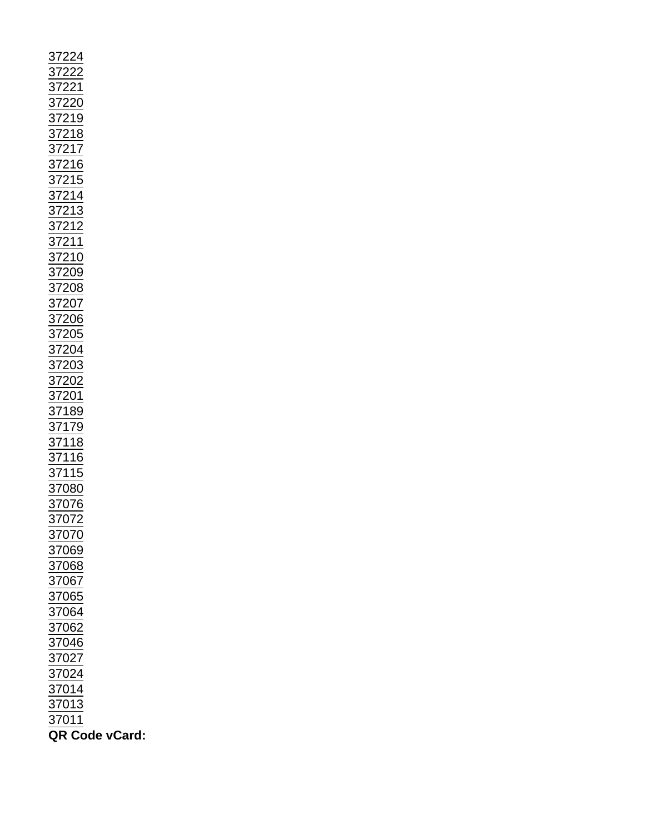| 37222<br>372221<br>372221<br>372218<br>37218<br>37216<br>37211<br>37212 37212<br>372208<br>37200<br>37200<br>37200<br>37200<br>37200<br>37200<br>37200<br>37200<br>37200<br>37200<br>37200<br>37200<br>37200<br>37200<br>37200<br>37200<br>37200<br>37200<br>37200<br>37200<br>37200<br>37 |
|--------------------------------------------------------------------------------------------------------------------------------------------------------------------------------------------------------------------------------------------------------------------------------------------|
|                                                                                                                                                                                                                                                                                            |
|                                                                                                                                                                                                                                                                                            |
|                                                                                                                                                                                                                                                                                            |
|                                                                                                                                                                                                                                                                                            |
|                                                                                                                                                                                                                                                                                            |
|                                                                                                                                                                                                                                                                                            |
|                                                                                                                                                                                                                                                                                            |
|                                                                                                                                                                                                                                                                                            |
|                                                                                                                                                                                                                                                                                            |
|                                                                                                                                                                                                                                                                                            |
| 37076                                                                                                                                                                                                                                                                                      |
| 37072                                                                                                                                                                                                                                                                                      |
|                                                                                                                                                                                                                                                                                            |
| 37070                                                                                                                                                                                                                                                                                      |
| 37069                                                                                                                                                                                                                                                                                      |
| 37068                                                                                                                                                                                                                                                                                      |
|                                                                                                                                                                                                                                                                                            |
|                                                                                                                                                                                                                                                                                            |
|                                                                                                                                                                                                                                                                                            |
|                                                                                                                                                                                                                                                                                            |
|                                                                                                                                                                                                                                                                                            |
| $\frac{37067}{37065}$ $\frac{37064}{37062}$ $\frac{37062}{37002}$                                                                                                                                                                                                                          |
|                                                                                                                                                                                                                                                                                            |
| $\frac{37027}{37024}$                                                                                                                                                                                                                                                                      |
|                                                                                                                                                                                                                                                                                            |
| 37014                                                                                                                                                                                                                                                                                      |
| $\frac{37013}{ }$                                                                                                                                                                                                                                                                          |
| $\frac{1}{37011}$                                                                                                                                                                                                                                                                          |
|                                                                                                                                                                                                                                                                                            |
| QR Code vCard:                                                                                                                                                                                                                                                                             |